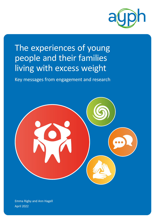

# The experiences of young people and their families living with excess weight

Key messages from engagement and research



Emma Rigby and Ann Hagell April 2022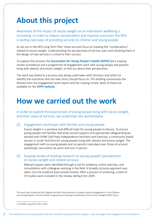### **About this project**

Awareness of the impact of excess weight on an individual's wellbeing is increasing. In order to reduce complications and improve outcomes the NHS is testing new ways of providing services to children and young people.

As set out in the NHS Long Term Plan<sup>1</sup> these services focus on treating the "complications" related to excess weight. Understanding the perspectives of service users and involving them in the design of new services is critical to their success.

To support this process the **[Association for Young People's Health](https://ayph.org.uk/) (AYPH)** led a scoping review of evidence and a programme of engagement work with young people and parents living with obesity and excess weight, to find out about their perspectives.

The work was linked to a process also being undertaken with clinicians and others to identify the outcomes that the new clinics should focus on. This briefing summarises the themes from the engagement work report and the scoping review. Both of these are available on the **[AYPH website](https://ayph.org.uk/)**.

### **How we carried out the work**

In order to explore the experiences of young people living with excess weight, and their views of services, we undertook two workstreams:

#### (1) Engagement workshops with families and young people.

Excess weight is a sensitive and difficult topic for young people to discuss. To ensure young people and families had wrap around support and appropriate safeguarding we worked with SHINE (Self Help Independence Nutrition and Exercise), a community based service in South Yorkshire for young people living with obesity and excess weight. The engagement with six young people and six parents took place over three structured workshops; two online via zoom and one in person.

#### (2) Scoping review of existing research on young people's perspectives on excess weight and related services.

Relevant papers were identified through a call for evidence, online searches, and consultations with colleagues working in the field. A broadly inclusive approach was taken, but the evidence base proved limited. After a process of screening, a total of 19 studies were included in the review, dating from 2009.

This work was funded by NHS England and NHS Improvement to support patient engagement in the Children and Young People's Transformation Programme to develop Complications from Excess Weight (CEW) clinics.

1 [The NHS Long Term Plan](https://www.longtermplan.nhs.uk/wp-content/uploads/2019/08/nhs-long-term-plan-version-1.2.pdf), 2019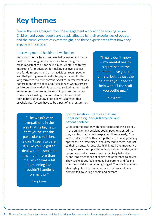### **Key themes**

Similar themes emerged from the engagement work and the scoping review. Children and young people are deeply affected by their experiences of obesity and the complications of excess weight, and these experiences affect how they engage with services.

#### Improving mental health and wellbeing:

Improving mental health and wellbeing was unanimously held by the young people we spoke to as being the most important focus for new clinics. Mental health was important for motivation, for making positive changes, and for doing sports and other activities. Young people said that getting mental health help quickly and for the long term was really important. Short term treatment was not great and they spoke about challenges when services or interventions ended. Parents also ranked mental health improvements as one of the most important outcomes from clinics. Existing research also emphasised that both parents and young people have suggested that psychological factors have to be a part of all programmes.

"I really don't know – my mental health is quite bad at the moment – I've got a lot of help, but it's just the help that you need to help with all the stuff you bottle up…"

Young Person

"…he wasn't very sympathetic in the way that its big news that you've got this particular condition.. he didn't seem to care… it's like you've got to deal with it….spoke to my mum more than me…which was a bit demeaning like I couldn't handle it on my own"

Young Person

#### Communication – services that are understanding, non-judgemental and patient centred:

Good communication with healthcare staff was also key. In the engagement sessions young people stressed that they wanted doctors who explained things clearly, "in a way I understand" with an empathic and non-stigmatising approach, in a 'safe place', and directed to them, not just to their parents. Parents also highlighted the importance of a good relationship with professionals and said a young person centred approach was particularly helpful in supporting attendance at clinics and adherence to advice. They spoke about feeling judged as parents and feeling that their children were being judged. The scoping review also highlighted the fundamental importance of how doctors talk to young people and parents.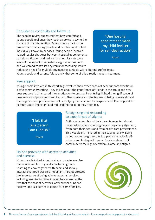#### Consistency, continuity and follow up:

The scoping review suggested that how comfortable young people feel once they reach a service is key to the success of the intervention. Parents taking part in the project said that young people and families want to feel individually known by services. Young people involved valued regular checkups between hospital appointments to help motivation and reduce isolation. Parents were wary of the impact of repeated weight measurements and welcomed centralised systems for recording data to

"One hospital appointment made my child feel set for self-destruction"

Parent

reduce the need for multiple stigmatising contacts with different professionals. Young people and parents felt strongly that some of this directly impacts treatment.

#### Peer support:

Young people involved in this work highly valued their experiences of peer support activities in a safe community setting. They talked about the importance of friends in the group and how peer support had increased their motivation to engage. Parents highlighted the significance of peer relationships for good and for bad. They spoke about the trauma of being overweight and the negative peer pressure and online bullying their children had experienced. Peer support for parents is also important and reduced the isolation they often felt.

"I felt that as a person I am rubbish."

Parent

#### Recognising and responding to experiences of stigma:

Both young people and their parents reported almost universal experiences of stigma and negative judgement, from both their peers and from health care professionals. This was clearly mirrored in the scoping review. Being seriously overweight results in a particular lack of selfesteem and feelings of trauma. Services should not contribute to feelings of criticism, blame and stigma.

#### Holistic provision with access to activities and exercise:

Young people talked about having a space to exercise that is safe and fun physical activities in groups. Learning to cook together with peers and socially interact over food was also important. Parents stressed the importance of being able to access all services including exercise facilities in one place as well as the fact that the cost of activities, after school clubs and healthy food is a barrier to access for some families.

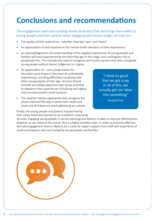## **Conclusions and recommendations**

The engagement work and scoping review illustrated that the things that matter to young people and their parents when engaging with excess weight services are:

- **•** The quality of their experience whether they feel 'seen' and 'heard'.
- **•** An appreciation of and response to the mental health elements of their experiences.
- **•** An acknowledgement and understanding of the negative experiences all young people and families will have experienced by the time they get to this stage, and a willingness not to perpetuate this. This includes the need to recognise and involve parents and carers alongside young people without blame, judgement or stigma.
- **•** An appreciation of and compensation for the awful social impacts they have all undoubtedly experienced, including difficulties socialising with other young people of their age. Services should consider providing supportive peer group activities to rebalance their experiences of bullying and stigma and promote positive social contacts.
- **•** The need for holistic approaches that recognise the whole child and the way in which their needs and issues are all linked and need addressing as a whole.

Finally, the young people and parents enjoyed having their views heard and wanted to be involved in improving

"I think its good that we got a say in all of this, we actually get our ideas into something"

Young Person

services. Engaging young people in service planning and delivery is likely to improve effectiveness. However, as we noted at the outset, this is a highly sensitive topic. In order to promote effective and safe engagement there is likely to be a need for expert support from staff with experience of youth participation who are trusted by young people and families.